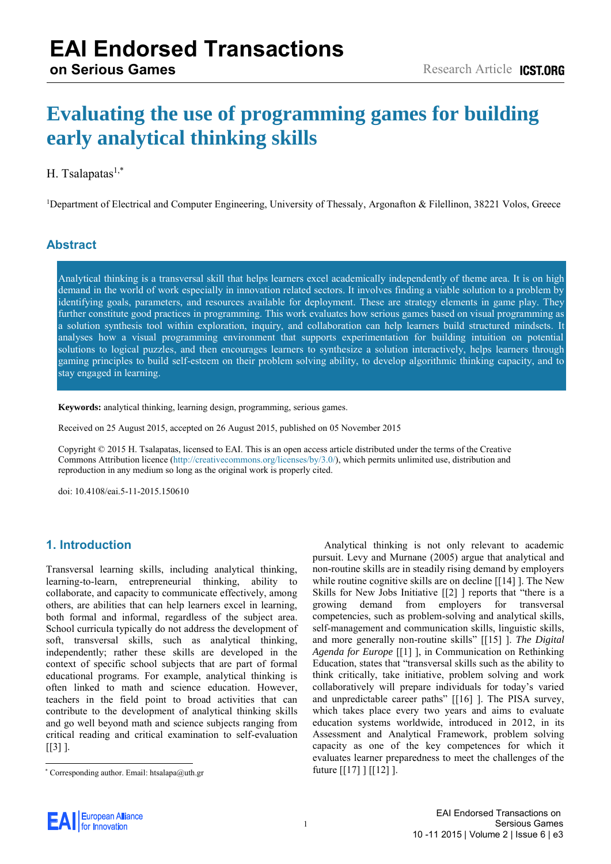# **Evaluating the use of programming games for building early analytical thinking skills**

### H. Tsalapatas $1,*$

<sup>1</sup>Department of Electrical and Computer Engineering, University of Thessaly, Argonafton & Filellinon, 38221 Volos, Greece

### **Abstract**

Analytical thinking is a transversal skill that helps learners excel academically independently of theme area. It is on high demand in the world of work especially in innovation related sectors. It involves finding a viable solution to a problem by identifying goals, parameters, and resources available for deployment. These are strategy elements in game play. They further constitute good practices in programming. This work evaluates how serious games based on visual programming as a solution synthesis tool within exploration, inquiry, and collaboration can help learners build structured mindsets. It analyses how a visual programming environment that supports experimentation for building intuition on potential solutions to logical puzzles, and then encourages learners to synthesize a solution interactively, helps learners through gaming principles to build self-esteem on their problem solving ability, to develop algorithmic thinking capacity, and to stay engaged in learning.

**Keywords:** analytical thinking, learning design, programming, serious games.

Received on 25 August 2015, accepted on 26 August 2015, published on 05 November 2015

Copyright © 2015 H. Tsalapatas, licensed to EAI. This is an open access article distributed under the terms of the Creative Commons Attribution licence [\(http://creativecommons.org/licenses/by/3.0/\)](http://creativecommons.org/licenses/by/3.0/), which permits unlimited use, distribution and reproduction in any medium so long as the original work is properly cited.

doi: 10.4108/eai.5-11-2015.150610

#### **1. Introduction**

Transversal learning skills, including analytical thinking, learning-to-learn, entrepreneurial thinking, ability to collaborate, and capacity to communicate effectively, among others, are abilities that can help learners excel in learning, both formal and informal, regardless of the subject area. School curricula typically do not address the development of soft, transversal skills, such as analytical thinking, independently; rather these skills are developed in the context of specific school subjects that are part of formal educational programs. For example, analytical thinking is often linked to math and science education. However, teachers in the field point to broad activities that can contribute to the development of analytical thinking skills and go well beyond math and science subjects ranging from critical reading and critical examination to self-evaluation  $[$ [3] ].

Analytical thinking is not only relevant to academic pursuit. Levy and Murnane (2005) argue that analytical and non-routine skills are in steadily rising demand by employers while routine cognitive skills are on decline [\[\[14\] \]](#page-4-1). The New Skills for New Jobs Initiative [\[\[2\] \]](#page-4-2) reports that "there is a growing demand from employers for transversal competencies, such as problem-solving and analytical skills, self-management and communication skills, linguistic skills, and more generally non-routine skills" [\[\[15\] \]](#page-5-0). *The Digital Agenda for Europe* [\[\[1\] \]](#page-4-3), in Communication on Rethinking Education, states that "transversal skills such as the ability to think critically, take initiative, problem solving and work collaboratively will prepare individuals for today's varied and unpredictable career paths" [\[\[16\] \]](#page-5-1). The PISA survey, which takes place every two years and aims to evaluate education systems worldwide, introduced in 2012, in its Assessment and Analytical Framework, problem solving capacity as one of the key competences for which it evaluates learner preparedness to meet the challenges of the future [\[\[17\] \]](#page-5-2) [\[\[12\] \]](#page-4-4).



<sup>\*</sup>  [Corre](#page-4-0)sponding author. Email: htsalapa@uth.gr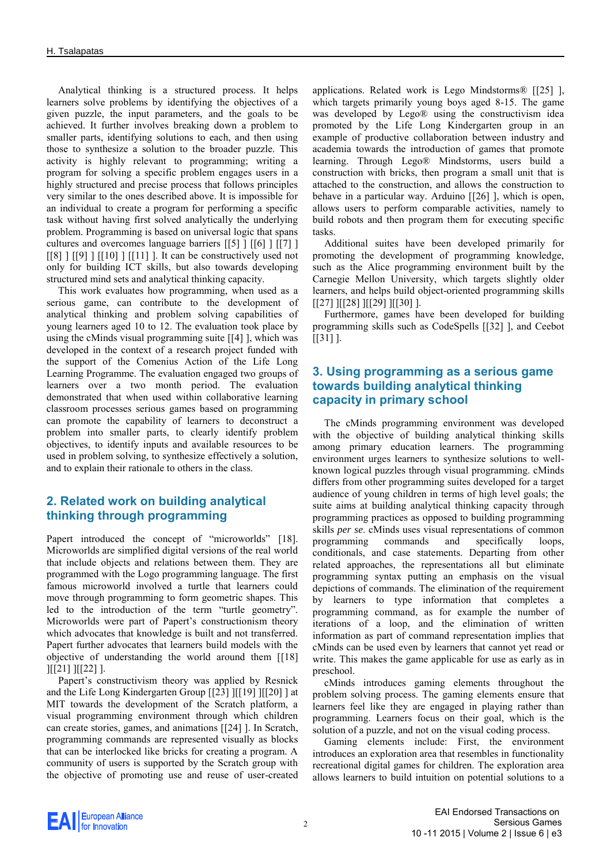Analytical thinking is a structured process. It helps learners solve problems by identifying the objectives of a given puzzle, the input parameters, and the goals to be achieved. It further involves breaking down a problem to smaller parts, identifying solutions to each, and then using those to synthesize a solution to the broader puzzle. This activity is highly relevant to programming; writing a program for solving a specific problem engages users in a highly structured and precise process that follows principles very similar to the ones described above. It is impossible for an individual to create a program for performing a specific task without having first solved analytically the underlying problem. Programming is based on universal logic that spans cultures and overcomes language barriers [\[\[5\] \]](#page-4-5) [\[\[6\] \]](#page-4-6) [\[\[7\] \]](#page-4-7)  $[8]$  ]  $[9]$  ]  $[10]$  ]  $[11]$  ]. It can be constructively used not only for building ICT skills, but also towards developing structured mind sets and analytical thinking capacity.

This work evaluates how programming, when used as a serious game, can contribute to the development of analytical thinking and problem solving capabilities of young learners aged 10 to 12. The evaluation took place by using the cMinds visual programming suite [\[\[4\] \]](#page-4-12), which was developed in the context of a research project funded with the support of the Comenius Action of the Life Long Learning Programme. The evaluation engaged two groups of learners over a two month period. The evaluation demonstrated that when used within collaborative learning classroom processes serious games based on programming can promote the capability of learners to deconstruct a problem into smaller parts, to clearly identify problem objectives, to identify inputs and available resources to be used in problem solving, to synthesize effectively a solution, and to explain their rationale to others in the class.

## **2. Related work on building analytical thinking through programming**

Papert introduced the concept of "microworlds" [18]. Microworlds are simplified digital versions of the real world that include objects and relations between them. They are programmed with the Logo programming language. The first famous microworld involved a turtle that learners could move through programming to form geometric shapes. This led to the introduction of the term "turtle geometry". Microworlds were part of Papert's constructionism theory which advocates that knowledge is built and not transferred. Papert further advocates that learners build models with the objective of understanding the world around them [\[\[18\]](#page-5-3)  ][\[\[21\] \]](#page-5-4)[\[\[22\] \]](#page-5-5).

Papert's constructivism theory was applied by Resnick and the Life Long Kindergarten Group [\[\[23\] \]](#page-5-6)[\[\[19\] \]](#page-5-7)[\[\[20\] \]](#page-5-8) at MIT towards the development of the Scratch platform, a visual programming environment through which children can create stories, games, and animations [\[\[24\] \]](#page-5-9). In Scratch, programming commands are represented visually as blocks that can be interlocked like bricks for creating a program. A community of users is supported by the Scratch group with the objective of promoting use and reuse of user-created

applications. Related work is Lego Mindstorms® [\[\[25\] \]](#page-5-10), which targets primarily young boys aged 8-15. The game was developed by Lego® using the constructivism idea promoted by the Life Long Kindergarten group in an example of productive collaboration between industry and academia towards the introduction of games that promote learning. Through Lego® Mindstorms, users build a construction with bricks, then program a small unit that is attached to the construction, and allows the construction to behave in a particular way. Arduino [\[\[26\] \]](#page-5-11), which is open, allows users to perform comparable activities, namely to build robots and then program them for executing specific tasks.

Additional suites have been developed primarily for promoting the development of programming knowledge, such as the Alice programming environment built by the Carnegie Mellon University, which targets slightly older learners, and helps build object-oriented programming skills [\[\[27\] \]](#page-5-12)[\[\[28\] \]](#page-5-13)[\[\[29\] \]](#page-5-14)[\[\[30\] \]](#page-5-15).

Furthermore, games have been developed for building programming skills such as CodeSpells [\[\[32\] \]](#page-5-16), and Ceebot  $[$ [\[\[31\] \]](#page-5-17).

#### **3. Using programming as a serious game towards building analytical thinking capacity in primary school**

The cMinds programming environment was developed with the objective of building analytical thinking skills among primary education learners. The programming environment urges learners to synthesize solutions to wellknown logical puzzles through visual programming. cMinds differs from other programming suites developed for a target audience of young children in terms of high level goals; the suite aims at building analytical thinking capacity through programming practices as opposed to building programming skills *per se*. cMinds uses visual representations of common programming commands and specifically loops, conditionals, and case statements. Departing from other related approaches, the representations all but eliminate programming syntax putting an emphasis on the visual depictions of commands. The elimination of the requirement by learners to type information that completes a programming command, as for example the number of iterations of a loop, and the elimination of written information as part of command representation implies that cMinds can be used even by learners that cannot yet read or write. This makes the game applicable for use as early as in preschool.

cMinds introduces gaming elements throughout the problem solving process. The gaming elements ensure that learners feel like they are engaged in playing rather than programming. Learners focus on their goal, which is the solution of a puzzle, and not on the visual coding process.

Gaming elements include: First, the environment introduces an exploration area that resembles in functionality recreational digital games for children. The exploration area allows learners to build intuition on potential solutions to a

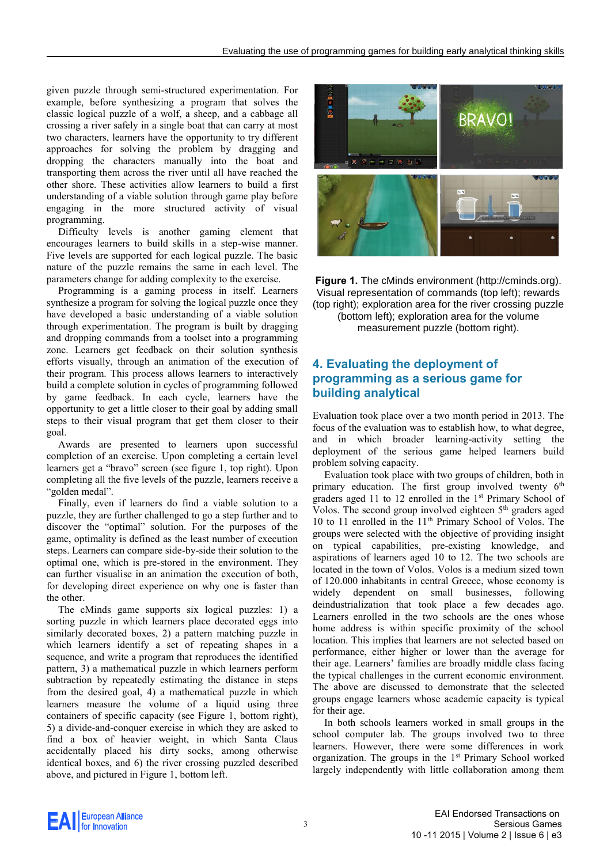given puzzle through semi-structured experimentation. For example, before synthesizing a program that solves the classic logical puzzle of a wolf, a sheep, and a cabbage all crossing a river safely in a single boat that can carry at most two characters, learners have the opportunity to try different approaches for solving the problem by dragging and dropping the characters manually into the boat and transporting them across the river until all have reached the other shore. These activities allow learners to build a first understanding of a viable solution through game play before engaging in the more structured activity of visual programming.

Difficulty levels is another gaming element that encourages learners to build skills in a step-wise manner. Five levels are supported for each logical puzzle. The basic nature of the puzzle remains the same in each level. The parameters change for adding complexity to the exercise.

Programming is a gaming process in itself. Learners synthesize a program for solving the logical puzzle once they have developed a basic understanding of a viable solution through experimentation. The program is built by dragging and dropping commands from a toolset into a programming zone. Learners get feedback on their solution synthesis efforts visually, through an animation of the execution of their program. This process allows learners to interactively build a complete solution in cycles of programming followed by game feedback. In each cycle, learners have the opportunity to get a little closer to their goal by adding small steps to their visual program that get them closer to their goal.

Awards are presented to learners upon successful completion of an exercise. Upon completing a certain level learners get a "bravo" screen (see figure 1, top right). Upon completing all the five levels of the puzzle, learners receive a "golden medal".

Finally, even if learners do find a viable solution to a puzzle, they are further challenged to go a step further and to discover the "optimal" solution. For the purposes of the game, optimality is defined as the least number of execution steps. Learners can compare side-by-side their solution to the optimal one, which is pre-stored in the environment. They can further visualise in an animation the execution of both, for developing direct experience on why one is faster than the other.

The cMinds game supports six logical puzzles: 1) a sorting puzzle in which learners place decorated eggs into similarly decorated boxes, 2) a pattern matching puzzle in which learners identify a set of repeating shapes in a sequence, and write a program that reproduces the identified pattern, 3) a mathematical puzzle in which learners perform subtraction by repeatedly estimating the distance in steps from the desired goal, 4) a mathematical puzzle in which learners measure the volume of a liquid using three containers of specific capacity (see Figure 1, bottom right), 5) a divide-and-conquer exercise in which they are asked to find a box of heavier weight, in which Santa Claus accidentally placed his dirty socks, among otherwise identical boxes, and 6) the river crossing puzzled described above, and pictured in Figure 1, bottom left.



**Figure 1.** The cMinds environment (http://cminds.org). Visual representation of commands (top left); rewards (top right); exploration area for the river crossing puzzle (bottom left); exploration area for the volume

measurement puzzle (bottom right).

#### **4. Evaluating the deployment of programming as a serious game for building analytical**

Evaluation took place over a two month period in 2013. The focus of the evaluation was to establish how, to what degree, and in which broader learning-activity setting the deployment of the serious game helped learners build problem solving capacity.

Evaluation took place with two groups of children, both in primary education. The first group involved twenty  $6<sup>th</sup>$ graders aged 11 to 12 enrolled in the 1st Primary School of Volos. The second group involved eighteen 5<sup>th</sup> graders aged 10 to 11 enrolled in the 11<sup>th</sup> Primary School of Volos. The groups were selected with the objective of providing insight on typical capabilities, pre-existing knowledge, and aspirations of learners aged 10 to 12. The two schools are located in the town of Volos. Volos is a medium sized town of 120.000 inhabitants in central Greece, whose economy is widely dependent on small businesses, following deindustrialization that took place a few decades ago. Learners enrolled in the two schools are the ones whose home address is within specific proximity of the school location. This implies that learners are not selected based on performance, either higher or lower than the average for their age. Learners' families are broadly middle class facing the typical challenges in the current economic environment. The above are discussed to demonstrate that the selected groups engage learners whose academic capacity is typical for their age.

In both schools learners worked in small groups in the school computer lab. The groups involved two to three learners. However, there were some differences in work organization. The groups in the 1<sup>st</sup> Primary School worked largely independently with little collaboration among them

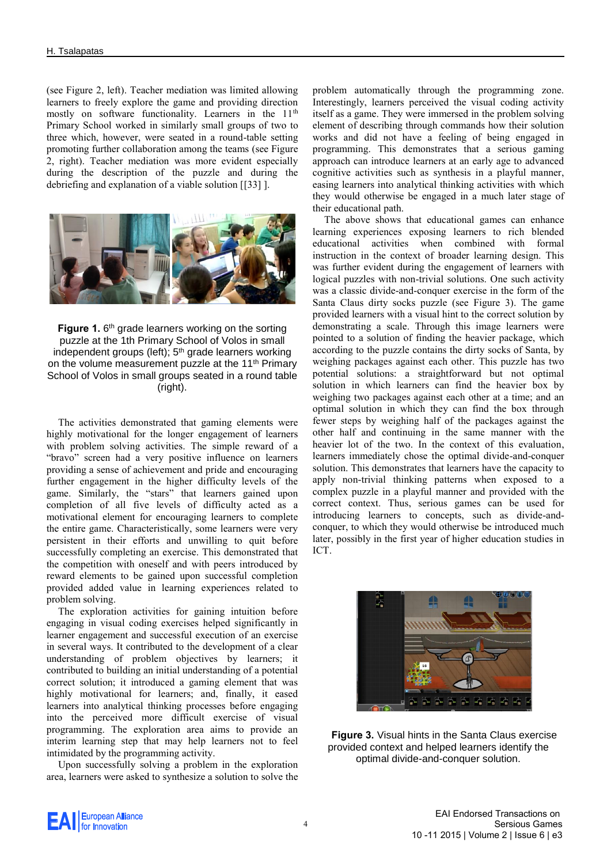(see Figure 2, left). Teacher mediation was limited allowing learners to freely explore the game and providing direction mostly on software functionality. Learners in the 11<sup>th</sup> Primary School worked in similarly small groups of two to three which, however, were seated in a round-table setting promoting further collaboration among the teams (see Figure 2, right). Teacher mediation was more evident especially during the description of the puzzle and during the debriefing and explanation of a viable solution [\[\[33\] \]](#page-5-18).



**Figure 1.** 6<sup>th</sup> grade learners working on the sorting puzzle at the 1th Primary School of Volos in small independent groups (left); 5<sup>th</sup> grade learners working on the volume measurement puzzle at the 11<sup>th</sup> Primary School of Volos in small groups seated in a round table (right).

The activities demonstrated that gaming elements were highly motivational for the longer engagement of learners with problem solving activities. The simple reward of a "bravo" screen had a very positive influence on learners providing a sense of achievement and pride and encouraging further engagement in the higher difficulty levels of the game. Similarly, the "stars" that learners gained upon completion of all five levels of difficulty acted as a motivational element for encouraging learners to complete the entire game. Characteristically, some learners were very persistent in their efforts and unwilling to quit before successfully completing an exercise. This demonstrated that the competition with oneself and with peers introduced by reward elements to be gained upon successful completion provided added value in learning experiences related to problem solving.

The exploration activities for gaining intuition before engaging in visual coding exercises helped significantly in learner engagement and successful execution of an exercise in several ways. It contributed to the development of a clear understanding of problem objectives by learners; it contributed to building an initial understanding of a potential correct solution; it introduced a gaming element that was highly motivational for learners; and, finally, it eased learners into analytical thinking processes before engaging into the perceived more difficult exercise of visual programming. The exploration area aims to provide an interim learning step that may help learners not to feel intimidated by the programming activity.

Upon successfully solving a problem in the exploration area, learners were asked to synthesize a solution to solve the

problem automatically through the programming zone. Interestingly, learners perceived the visual coding activity itself as a game. They were immersed in the problem solving element of describing through commands how their solution works and did not have a feeling of being engaged in programming. This demonstrates that a serious gaming approach can introduce learners at an early age to advanced cognitive activities such as synthesis in a playful manner, easing learners into analytical thinking activities with which they would otherwise be engaged in a much later stage of their educational path.

The above shows that educational games can enhance learning experiences exposing learners to rich blended educational activities when combined with formal instruction in the context of broader learning design. This was further evident during the engagement of learners with logical puzzles with non-trivial solutions. One such activity was a classic divide-and-conquer exercise in the form of the Santa Claus dirty socks puzzle (see Figure 3). The game provided learners with a visual hint to the correct solution by demonstrating a scale. Through this image learners were pointed to a solution of finding the heavier package, which according to the puzzle contains the dirty socks of Santa, by weighing packages against each other. This puzzle has two potential solutions: a straightforward but not optimal solution in which learners can find the heavier box by weighing two packages against each other at a time; and an optimal solution in which they can find the box through fewer steps by weighing half of the packages against the other half and continuing in the same manner with the heavier lot of the two. In the context of this evaluation, learners immediately chose the optimal divide-and-conquer solution. This demonstrates that learners have the capacity to apply non-trivial thinking patterns when exposed to a complex puzzle in a playful manner and provided with the correct context. Thus, serious games can be used for introducing learners to concepts, such as divide-andconquer, to which they would otherwise be introduced much later, possibly in the first year of higher education studies in ICT.



**Figure 3.** Visual hints in the Santa Claus exercise provided context and helped learners identify the optimal divide-and-conquer solution.

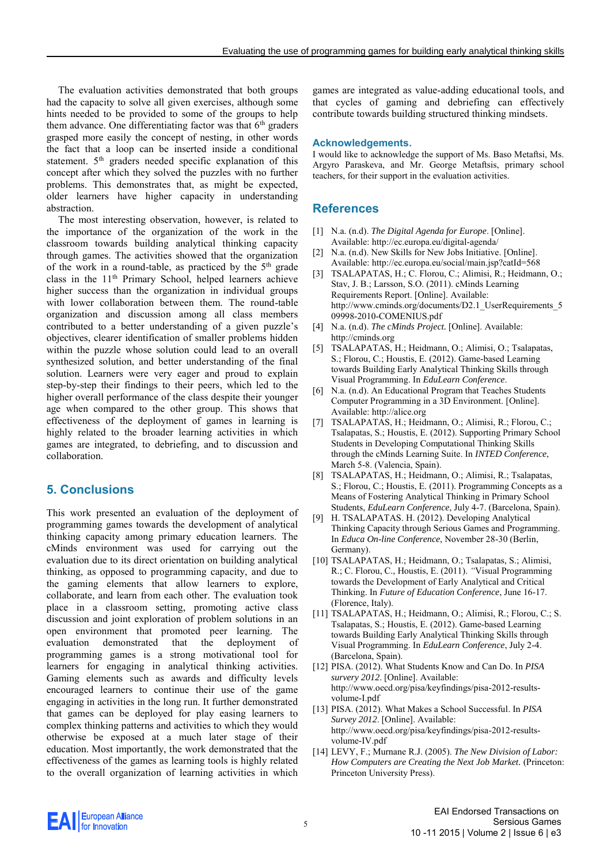The evaluation activities demonstrated that both groups had the capacity to solve all given exercises, although some hints needed to be provided to some of the groups to help them advance. One differentiating factor was that  $6<sup>th</sup>$  graders grasped more easily the concept of nesting, in other words the fact that a loop can be inserted inside a conditional statement. 5<sup>th</sup> graders needed specific explanation of this concept after which they solved the puzzles with no further problems. This demonstrates that, as might be expected, older learners have higher capacity in understanding abstraction.

The most interesting observation, however, is related to the importance of the organization of the work in the classroom towards building analytical thinking capacity through games. The activities showed that the organization of the work in a round-table, as practiced by the  $5<sup>th</sup>$  grade class in the 11th Primary School, helped learners achieve higher success than the organization in individual groups with lower collaboration between them. The round-table organization and discussion among all class members contributed to a better understanding of a given puzzle's objectives, clearer identification of smaller problems hidden within the puzzle whose solution could lead to an overall synthesized solution, and better understanding of the final solution. Learners were very eager and proud to explain step-by-step their findings to their peers, which led to the higher overall performance of the class despite their younger age when compared to the other group. This shows that effectiveness of the deployment of games in learning is highly related to the broader learning activities in which games are integrated, to debriefing, and to discussion and collaboration.

#### **5. Conclusions**

This work presented an evaluation of the deployment of programming games towards the development of analytical thinking capacity among primary education learners. The cMinds environment was used for carrying out the evaluation due to its direct orientation on building analytical thinking, as opposed to programming capacity, and due to the gaming elements that allow learners to explore, collaborate, and learn from each other. The evaluation took place in a classroom setting, promoting active class discussion and joint exploration of problem solutions in an open environment that promoted peer learning. The evaluation demonstrated that the deployment of programming games is a strong motivational tool for learners for engaging in analytical thinking activities. Gaming elements such as awards and difficulty levels encouraged learners to continue their use of the game engaging in activities in the long run. It further demonstrated that games can be deployed for play easing learners to complex thinking patterns and activities to which they would otherwise be exposed at a much later stage of their education. Most importantly, the work demonstrated that the effectiveness of the games as learning tools is highly related to the overall organization of learning activities in which

games are integrated as value-adding educational tools, and that cycles of gaming and debriefing can effectively contribute towards building structured thinking mindsets.

#### **Acknowledgements.**

I would like to acknowledge the support of Ms. Baso Metaftsi, Ms. Argyro Paraskeva, and Mr. George Metaftsis, primary school teachers, for their support in the evaluation activities.

#### **References**

- <span id="page-4-3"></span>[1] N.a. (n.d). *The Digital Agenda for Europe*. [Online]. Available[: http://ec.europa.eu/digital-agenda/](http://ec.europa.eu/digital-agenda/)
- <span id="page-4-2"></span>[2] N.a. (n.d). New Skills for New Jobs Initiative. [Online]. Available[: http://ec.europa.eu/social/main.jsp?catId=568](http://ec.europa.eu/social/main.jsp?catId=568)
- <span id="page-4-0"></span>[3] TSALAPATAS, H.; C. Florou, C.; Alimisi, R.; Heidmann, O.; Stav, J. B.; Larsson, S.O. (2011). cMinds Learning Requirements Report. [Online]. Available: http://www.cminds.org/documents/D2.1 UserRequirements 5 [09998-2010-COMENIUS.pdf](http://www.cminds.org/documents/D2.1_UserRequirements_509998-2010-COMENIUS.pdf)
- <span id="page-4-12"></span>[4] N.a. (n.d). *The cMinds Project.* [Online]. Available: [http://cminds.org](http://cminds.org/)
- <span id="page-4-5"></span>[5] TSALAPATAS, H.; Heidmann, O.; Alimisi, O.; Tsalapatas, S.; Florou, C.; Houstis, E. (2012). Game-based Learning towards Building Early Analytical Thinking Skills through Visual Programming. In *EduLearn Conference*.
- <span id="page-4-6"></span>[6] N.a. (n.d). An Educational Program that Teaches Students Computer Programming in a 3D Environment. [Online]. Available[: http://alice.org](http://alice.org/)
- <span id="page-4-7"></span>[7] TSALAPATAS, H.; Heidmann, O.; Alimisi, R.; Florou, C.; Tsalapatas, S.; Houstis, E. (2012). Supporting Primary School Students in Developing Computational Thinking Skills through the cMinds Learning Suite. In *INTED Conference*, March 5-8. (Valencia, Spain).
- <span id="page-4-8"></span>[8] TSALAPATAS, H.; Heidmann, O.; Alimisi, R.; Tsalapatas, S.; Florou, C.; Houstis, E. (2011). Programming Concepts as a Means of Fostering Analytical Thinking in Primary School Students, *EduLearn Conference*, July 4-7. (Barcelona, Spain).
- <span id="page-4-9"></span>H. TSALAPATAS. H. (2012). Developing Analytical Thinking Capacity through Serious Games and Programming. In *Educa On-line Conference*, November 28-30 (Berlin, Germany).
- <span id="page-4-10"></span>[10] TSALAPATAS, H.; Heidmann, O.; Tsalapatas, S.; Alimisi, R.; C. Florou, C., Houstis, E. (2011). *"*Visual Programming towards the Development of Early Analytical and Critical Thinking. In *Future of Education Conference*, June 16-17. (Florence, Italy).
- <span id="page-4-11"></span>[11] TSALAPATAS, H.; Heidmann, O.; Alimisi, R.; Florou, C.; S. Tsalapatas, S.; Houstis, E. (2012). Game-based Learning towards Building Early Analytical Thinking Skills through Visual Programming. In *EduLearn Conference*, July 2-4. (Barcelona, Spain).
- <span id="page-4-4"></span>[12] PISA. (2012). What Students Know and Can Do. In *PISA survery 2012*. [Online]. Available: [http://www.oecd.org/pisa/keyfindings/pisa-2012-results](http://www.oecd.org/pisa/keyfindings/pisa-2012-results-volume-I.pdf)[volume-I.pdf](http://www.oecd.org/pisa/keyfindings/pisa-2012-results-volume-I.pdf)
- [13] PISA. (2012). What Makes a School Successful. In *PISA Survey 2012*. [Online]. Available: [http://www.oecd.org/pisa/keyfindings/pisa-2012-results](http://www.oecd.org/pisa/keyfindings/pisa-2012-results-volume-IV.pdf)[volume-IV.pdf](http://www.oecd.org/pisa/keyfindings/pisa-2012-results-volume-IV.pdf)
- <span id="page-4-1"></span>[14] LEVY, F.; Murnane R.J. (2005). *The New Division of Labor: How Computers are Creating the Next Job Market.* (Princeton: Princeton University Press).